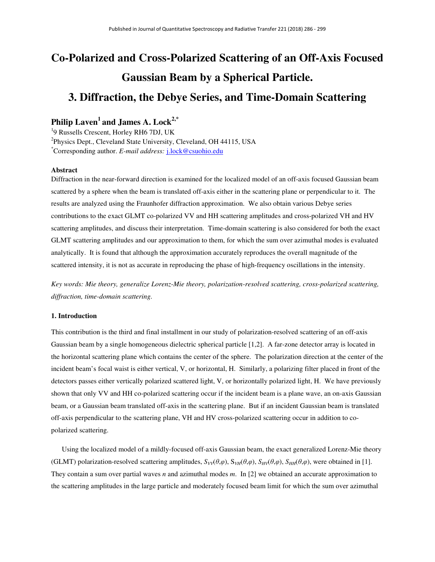# **Co-Polarized and Cross-Polarized Scattering of an Off-Axis Focused Gaussian Beam by a Spherical Particle. 3. Diffraction, the Debye Series, and Time-Domain Scattering**

## **Philip Laven<sup>1</sup>and James A. Lock2,\***

<sup>1</sup>9 Russells Crescent, Horley RH6 7DJ, UK <sup>2</sup>Physics Dept., Cleveland State University, Cleveland, OH 44115, USA \*Corresponding author. *E-mail address:* j.lock@csuohio.edu

## **Abstract**

Diffraction in the near-forward direction is examined for the localized model of an off-axis focused Gaussian beam scattered by a sphere when the beam is translated off-axis either in the scattering plane or perpendicular to it. The results are analyzed using the Fraunhofer diffraction approximation. We also obtain various Debye series contributions to the exact GLMT co-polarized VV and HH scattering amplitudes and cross-polarized VH and HV scattering amplitudes, and discuss their interpretation. Time-domain scattering is also considered for both the exact GLMT scattering amplitudes and our approximation to them, for which the sum over azimuthal modes is evaluated analytically. It is found that although the approximation accurately reproduces the overall magnitude of the scattered intensity, it is not as accurate in reproducing the phase of high-frequency oscillations in the intensity.

*Key words: Mie theory, generalize Lorenz-Mie theory, polarization-resolved scattering, cross-polarized scattering, diffraction, time-domain scattering.* 

## **1. Introduction**

This contribution is the third and final installment in our study of polarization-resolved scattering of an off-axis Gaussian beam by a single homogeneous dielectric spherical particle [1,2]. A far-zone detector array is located in the horizontal scattering plane which contains the center of the sphere. The polarization direction at the center of the incident beam's focal waist is either vertical, V, or horizontal, H. Similarly, a polarizing filter placed in front of the detectors passes either vertically polarized scattered light, V, or horizontally polarized light, H. We have previously shown that only VV and HH co-polarized scattering occur if the incident beam is a plane wave, an on-axis Gaussian beam, or a Gaussian beam translated off-axis in the scattering plane. But if an incident Gaussian beam is translated off-axis perpendicular to the scattering plane, VH and HV cross-polarized scattering occur in addition to copolarized scattering.

 Using the localized model of a mildly-focused off-axis Gaussian beam, the exact generalized Lorenz-Mie theory (GLMT) polarization-resolved scattering amplitudes,  $S_{VV}(\theta,\varphi)$ ,  $S_{HH}(\theta,\varphi)$ ,  $S_{HH}(\theta,\varphi)$ , were obtained in [1]. They contain a sum over partial waves *n* and azimuthal modes *m*. In [2] we obtained an accurate approximation to the scattering amplitudes in the large particle and moderately focused beam limit for which the sum over azimuthal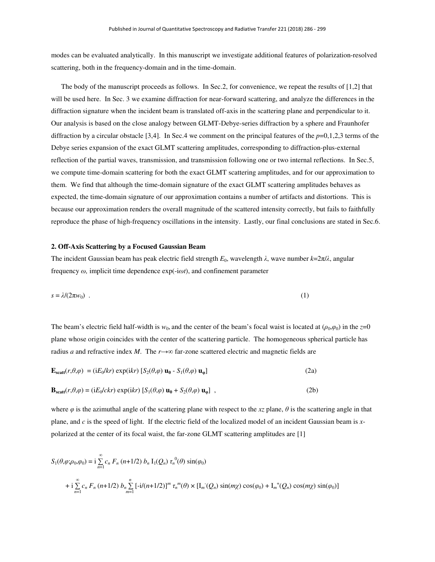modes can be evaluated analytically. In this manuscript we investigate additional features of polarization-resolved scattering, both in the frequency-domain and in the time-domain.

The body of the manuscript proceeds as follows. In Sec.2, for convenience, we repeat the results of [1,2] that will be used here. In Sec. 3 we examine diffraction for near-forward scattering, and analyze the differences in the diffraction signature when the incident beam is translated off-axis in the scattering plane and perpendicular to it. Our analysis is based on the close analogy between GLMT-Debye-series diffraction by a sphere and Fraunhofer diffraction by a circular obstacle [3,4]. In Sec.4 we comment on the principal features of the *p*=0,1,2,3 terms of the Debye series expansion of the exact GLMT scattering amplitudes, corresponding to diffraction-plus-external reflection of the partial waves, transmission, and transmission following one or two internal reflections. In Sec.5, we compute time-domain scattering for both the exact GLMT scattering amplitudes, and for our approximation to them. We find that although the time-domain signature of the exact GLMT scattering amplitudes behaves as expected, the time-domain signature of our approximation contains a number of artifacts and distortions. This is because our approximation renders the overall magnitude of the scattered intensity correctly, but fails to faithfully reproduce the phase of high-frequency oscillations in the intensity. Lastly, our final conclusions are stated in Sec.6.

#### **2. Off-Axis Scattering by a Focused Gaussian Beam**

The incident Gaussian beam has peak electric field strength *E*0, wavelength *λ*, wave number *k*=2π/*λ*, angular frequency *ω,* implicit time dependence exp(-i*ωt*), and confinement parameter

$$
s = \lambda/(2\pi w_0) \tag{1}
$$

The beam's electric field half-width is  $w_0$ , and the center of the beam's focal waist is located at ( $\rho_0, \varphi_0$ ) in the *z*=0 plane whose origin coincides with the center of the scattering particle. The homogeneous spherical particle has radius *a* and refractive index *M*. The *r*→∞ far-zone scattered electric and magnetic fields are

$$
\mathbf{E}_{\text{scatt}}(r,\theta,\varphi) = (\mathrm{i}E_0/kr) \exp(\mathrm{i}kr) \left[ S_2(\theta,\varphi) \mathbf{u}_0 - S_1(\theta,\varphi) \mathbf{u}_\varphi \right]
$$
(2a)

$$
\mathbf{B}_{scatt}(r,\theta,\varphi) = (iE_0/ckr) \exp(ikr) \left[ S_1(\theta,\varphi) \mathbf{u}_{\theta} + S_2(\theta,\varphi) \mathbf{u}_{\varphi} \right] ,
$$
 (2b)

where  $\varphi$  is the azimuthal angle of the scattering plane with respect to the *xz* plane,  $\theta$  is the scattering angle in that plane, and *c* is the speed of light. If the electric field of the localized model of an incident Gaussian beam is *x*polarized at the center of its focal waist, the far-zone GLMT scattering amplitudes are [1]

$$
S_1(\theta, \varphi; \rho_0, \varphi_0) = i \sum_{n=1}^{\infty} c_n F_n (n+1/2) b_n I_1(Q_n) \tau_n^{0}(\theta) \sin(\varphi_0)
$$
  
+  $i \sum_{n=1}^{\infty} c_n F_n (n+1/2) b_n \sum_{m=1}^n [-i/(n+1/2)]^m \tau_n^{m}(\theta) \times [I_m(Q_n) \sin(m\chi) \cos(\varphi_0) + I_m^{+}(Q_n) \cos(m\chi) \sin(\varphi_0)]$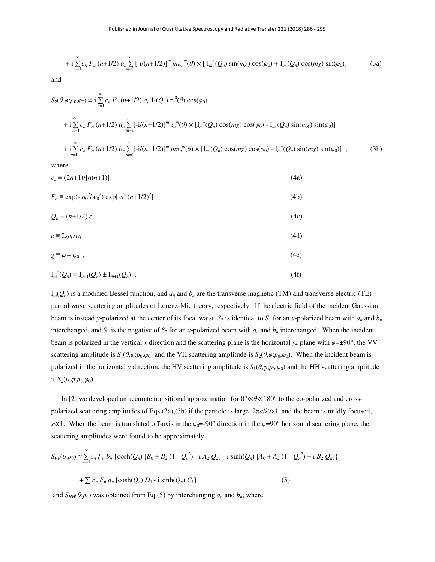+ i 
$$
\sum_{n=1}^{\infty} c_n F_n (n+1/2) a_n \sum_{m=1}^n [ -i/(n+1/2) ]^m m \pi_n^m(\theta) \times [ I_m^+(Q_n) \sin(m\chi) \cos(\varphi_0) + I_m^-(Q_n) \cos(m\chi) \sin(\varphi_0) ]
$$
 (3a)

and

$$
S_{2}(\theta,\varphi;\rho_{0},\varphi_{0}) = i \sum_{n=1}^{\infty} c_{n} F_{n} (n+1/2) a_{n} I_{1}(Q_{n}) \tau_{n}^{0}(\theta) \cos(\varphi_{0})
$$
  
+ 
$$
i \sum_{n=1}^{\infty} c_{n} F_{n} (n+1/2) a_{n} \sum_{m=1}^{n} [-i/(n+1/2)]^{m} \tau_{n}^{m}(\theta) \times [I_{m}^{+}(Q_{n}) \cos(m\chi) \cos(\varphi_{0}) - I_{m}^{-}(Q_{n}) \sin(m\chi) \sin(\varphi_{0})]
$$
  
+ 
$$
i \sum_{n=1}^{\infty} c_{n} F_{n} (n+1/2) b_{n} \sum_{m=1}^{n} [-i/(n+1/2)]^{m} m \pi_{n}^{m}(\theta) \times [I_{m}^{-}(Q_{n}) \cos(m\chi) \cos(\varphi_{0}) - I_{m}^{+}(Q_{n}) \sin(m\chi) \sin(\varphi_{0})], \qquad (3b)
$$

where

$$
c_n \equiv (2n+1)/[n(n+1)] \tag{4a}
$$
  
\n
$$
F_n \equiv \exp(-\rho_0^2/w_0^2) \exp[-s^2 (n+1/2)^2]
$$
  
\n
$$
Q_n \equiv (n+1/2) \varepsilon \tag{4b}
$$
  
\n
$$
\varepsilon \equiv 2s\rho_0/w_0 \tag{4c}
$$
  
\n
$$
\chi \equiv \varphi - \varphi_0 , \tag{4e}
$$
  
\n
$$
I_m^{\pm}(Q_n) \equiv I_{m-1}(Q_n) \pm I_{m+1}(Q_n) , \tag{4f}
$$

 $I_m(Q_n)$  is a modified Bessel function, and  $a_n$  and  $b_n$  are the transverse magnetic (TM) and transverse electric (TE) partial wave scattering amplitudes of Lorenz-Mie theory, respectively. If the electric field of the incident Gaussian beam is instead *y*-polarized at the center of its focal waist,  $S_2$  is identical to  $S_1$  for an *x*-polarized beam with  $a_n$  and  $b_n$ interchanged, and  $S_1$  is the negative of  $S_2$  for an *x*-polarized beam with  $a_n$  and  $b_n$  interchanged. When the incident beam is polarized in the vertical *x* direction and the scattering plane is the horizontal *yz* plane with *φ*=±90°, the VV scattering amplitude is  $S_1(\theta, \varphi; \rho_0, \varphi_0)$  and the VH scattering amplitude is  $S_2(\theta, \varphi; \rho_0, \varphi_0)$ . When the incident beam is polarized in the horizontal *y* direction, the HV scattering amplitude is  $S_1(\theta, \varphi; \rho_0, \varphi_0)$  and the HH scattering amplitude is  $S_2(\theta, \varphi; \rho_0, \varphi_0)$ .

In [2] we developed an accurate transitional approximation for 0°≪*θ*≪180° to the co-polarized and crosspolarized scattering amplitudes of Eqs.(3a),(3b) if the particle is large, 2π*a*/*λ*≫1, and the beam is mildly focused, *s*<sup> $\ll$ 1. When the beam is translated off-axis in the  $\varphi_0$ =-90° direction in the  $\varphi$ =90° horizontal scattering plane, the</sup> scattering amplitudes were found to be approximately

$$
S_{VV}(\theta;\rho_0) \approx \sum_{n=1}^{\infty} c_n F_n b_n \left\{ \cosh(Q_n) \left[ B_0 + B_2 \left( 1 - Q_n^2 \right) - i A_2 Q_n \right] - i \sinh(Q_n) \left[ A_0 + A_2 \left( 1 - Q_n^2 \right) + i B_2 Q_n \right] \right\}
$$
  
+  $\sum c_n F_n a_n \left[ \cosh(Q_n) D_1 - i \sinh(Q_n) C_1 \right]$  (5)

and  $S<sub>HH</sub>( $\theta$ ;  $\rho_0$ ) was obtained from Eq.(5) by interchanging  $a_n$  and  $b_n$ , where$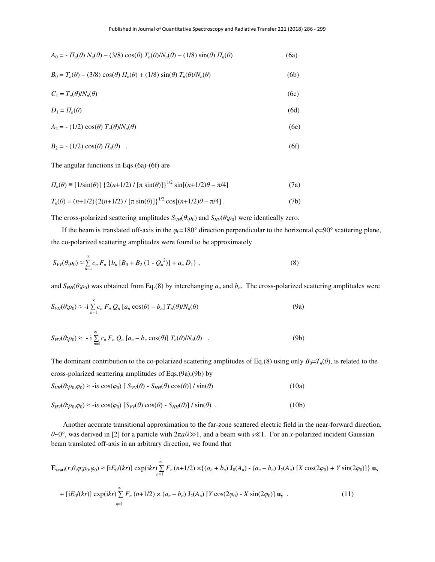$$
A_0 = -\Pi_n(\theta) N_n(\theta) - (3/8) \cos(\theta) T_n(\theta) / N_n(\theta) - (1/8) \sin(\theta) \Pi_n(\theta)
$$
 (6a)

$$
B_0 = T_n(\theta) - (3/8)\cos(\theta)\,\Pi_n(\theta) + (1/8)\sin(\theta)\,\Gamma_n(\theta)/N_n(\theta) \tag{6b}
$$

$$
C_1 = T_n(\theta) / N_n(\theta) \tag{6c}
$$

$$
D_1 = \Pi_n(\theta) \tag{6d}
$$

$$
A_2 = - (1/2) \cos(\theta) T_n(\theta) / N_n(\theta)
$$
 (6e)

$$
B_2 = -\left(1/2\right)\cos(\theta)\,\Pi_n(\theta) \quad . \tag{6f}
$$

The angular functions in Eqs.(6a)-(6f) are

$$
\Pi_n(\theta) \equiv [1/\sin(\theta)] \left\{ 2(n+1/2) / [\pi \sin(\theta)] \right\}^{1/2} \sin[(n+1/2)\theta - \pi/4]
$$
\n(7a)

$$
T_n(\theta) \equiv (n+1/2)\{2(n+1/2)/[\pi \sin(\theta)]\}^{1/2} \cos[(n+1/2)\theta - \pi/4].
$$
 (7b)

The cross-polarized scattering amplitudes  $S_{VH}(\theta;\rho_0)$  and  $S_{HV}(\theta;\rho_0)$  were identically zero.

If the beam is translated off-axis in the  $\varphi_0$ =180° direction perpendicular to the horizontal  $\varphi$ =90° scattering plane, the co-polarized scattering amplitudes were found to be approximately

$$
S_{VV}(\theta;\rho_0) \approx \sum_{n=1}^{\infty} c_n F_n \left\{ b_n \left[ B_0 + B_2 \left( 1 - Q_n^2 \right) \right] + a_n D_1 \right\},\tag{8}
$$

and  $S<sub>HH</sub>(\theta;\rho_0)$  was obtained from Eq.(8) by interchanging  $a_n$  and  $b_n$ . The cross-polarized scattering amplitudes were

$$
S_{VH}(\theta;\rho_0) \approx -i \sum_{n=1}^{\infty} c_n F_n Q_n [a_n \cos(\theta) - b_n] T_n(\theta) / N_n(\theta)
$$
\n(9a)

$$
S_{HV}(\theta;\rho_0) \approx -i \sum_{n=1}^{\infty} c_n F_n Q_n [a_n - b_n \cos(\theta)] T_n(\theta) / N_n(\theta) \quad . \tag{9b}
$$

The dominant contribution to the co-polarized scattering amplitudes of Eq.(8) using only  $B_0 = T_n(\theta)$ , is related to the cross-polarized scattering amplitudes of Eqs.(9a),(9b) by

$$
S_{VH}(\theta:\rho_0,\varphi_0) \approx -i\varepsilon \cos(\varphi_0) \left[ S_{VV}(\theta) - S_{HH}(\theta) \cos(\theta) \right] / \sin(\theta)
$$
 (10a)

$$
S_{HV}(\theta:\rho_0,\varphi_0) \approx -i\varepsilon \cos(\varphi_0) \left[ S_{VV}(\theta) \cos(\theta) - S_{HH}(\theta) \right] / \sin(\theta) \tag{10b}
$$

 Another accurate transitional approximation to the far-zone scattered electric field in the near-forward direction, *θ*~0°, was derived in [2] for a particle with 2π*a*/*λ*≫1, and a beam with *s*≪1. For an *x*-polarized incident Gaussian beam translated off-axis in an arbitrary direction, we found that

$$
\mathbf{E}_{\text{scatt}}(r, \theta, \varphi; \rho_0, \varphi_0) \approx \left[ i E_0/(kr) \right] \exp(ikr) \sum_{n=1}^{\infty} F_n(n+1/2) \times \left\{ (a_n + b_n) J_0(A_n) - (a_n - b_n) J_2(A_n) \left[ X \cos(2\varphi_0) + Y \sin(2\varphi_0) \right] \right\} \mathbf{u}_x
$$

+ [iE<sub>0</sub>/(kr)] exp(ikr) 
$$
\sum_{n=1}^{\infty} F_n (n+1/2) \times (a_n - b_n) J_2(A_n)
$$
 [Y cos(2 $\varphi_0$ ) - X sin(2 $\varphi_0$ )] **u**<sub>y</sub> . (11)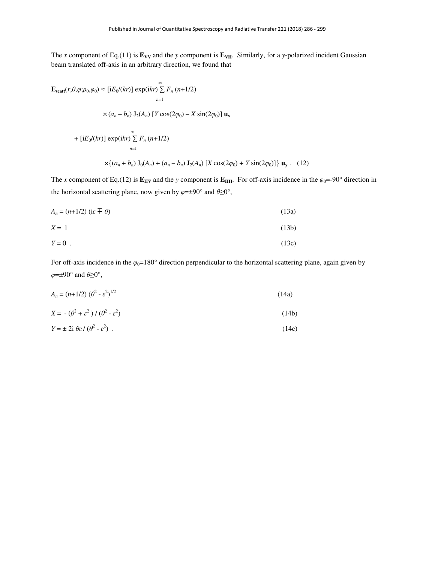The *x* component of Eq.(11) is  $\mathbf{E}_{VV}$  and the *y* component is  $\mathbf{E}_{VH}$ . Similarly, for a *y*-polarized incident Gaussian beam translated off-axis in an arbitrary direction, we found that

$$
\mathbf{E}_{\text{scatt}}(r, \theta, \varphi; \rho_0, \varphi_0) \approx [\text{i}E_0/(kr)] \exp(\text{i}kr) \sum_{n=1}^{\infty} F_n (n+1/2)
$$
  
×  $(a_n - b_n) \mathbf{J}_2(A_n) [Y \cos(2\varphi_0) - X \sin(2\varphi_0)] \mathbf{u}_x$   
+  $[\text{i}E_0/(kr)] \exp(\text{i}kr) \sum_{n=1}^{\infty} F_n (n+1/2)$   
× $\{(a_n + b_n) \mathbf{J}_0(A_n) + (a_n - b_n) \mathbf{J}_2(A_n) [X \cos(2\varphi_0) + Y \sin(2\varphi_0)]\} \mathbf{u}_y$ . (12)

The *x* component of Eq.(12) is  $\mathbf{E}_{\text{HV}}$  and the *y* component is  $\mathbf{E}_{\text{HH}}$ . For off-axis incidence in the  $\varphi_0 = -90^\circ$  direction in the horizontal scattering plane, now given by *φ*=±90° and *θ*≥0°,

$$
A_n = (n+1/2) \text{ (i.e } \pm \theta)
$$
 (13a)

$$
X = 1 \tag{13b}
$$

$$
Y = 0 \tag{13c}
$$

For off-axis incidence in the  $\varphi_0 = 180^\circ$  direction perpendicular to the horizontal scattering plane, again given by *φ*=±90° and *θ*≥0°,

| $A_n = (n+1/2) (\theta^2 - \varepsilon^2)^{1/2}$ | (14a) |
|--------------------------------------------------|-------|
|                                                  |       |

$$
X = -(\theta^2 + \varepsilon^2) / (\theta^2 - \varepsilon^2)
$$
 (14b)

$$
Y = \pm 2i \theta \varepsilon / (\theta^2 - \varepsilon^2) \tag{14c}
$$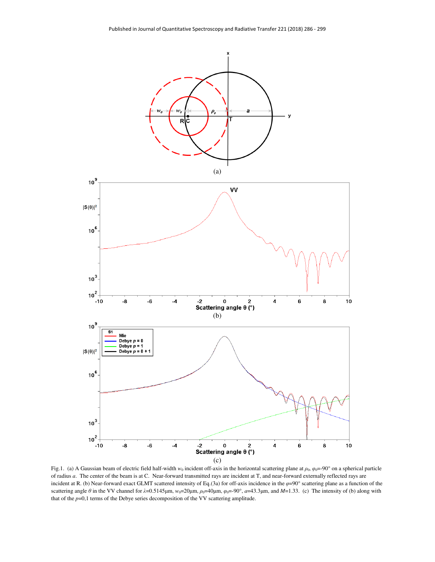

Fig.1. (a) A Gaussian beam of electric field half-width  $w_0$  incident off-axis in the horizontal scattering plane at  $\rho_0$ ,  $\varphi_0 = -90^\circ$  on a spherical particle of radius *a*. The center of the beam is at C. Near-forward transmitted rays are incident at T, and near-forward externally reflected rays are incident at R. (b) Near-forward exact GLMT scattered intensity of Eq.(3a) for off-axis incidence in the  $\varphi$ =90° scattering plane as a function of the scattering angle *θ* in the VV channel for  $λ=0.5145\mu$ m,  $w_0=20\mu$ m,  $ρ_0=40\mu$ m,  $φ_0=-90°$ ,  $a=43.3\mu$ m, and  $M=1.33$ . (c) The intensity of (b) along with that of the *p*=0,1 terms of the Debye series decomposition of the VV scattering amplitude.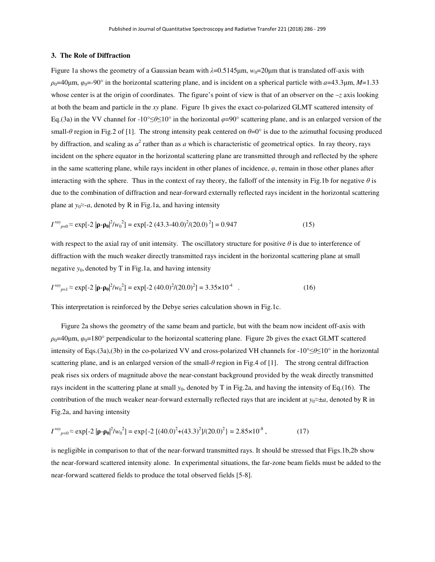## **3. The Role of Diffraction**

Figure 1a shows the geometry of a Gaussian beam with  $\lambda$ =0.5145μm,  $w_0$ =20μm that is translated off-axis with  $\rho_0$ =40μm,  $\varphi_0$ =-90° in the horizontal scattering plane, and is incident on a spherical particle with  $a$ =43.3μm, *M*=1.33 whose center is at the origin of coordinates. The figure's point of view is that of an observer on the –*z* axis looking at both the beam and particle in the *xy* plane. Figure 1b gives the exact co-polarized GLMT scattered intensity of Eq.(3a) in the VV channel for -10°≤*θ*≤10° in the horizontal *φ*=90° scattering plane, and is an enlarged version of the small-θ region in Fig.2 of [1]. The strong intensity peak centered on  $\theta=0^\circ$  is due to the azimuthal focusing produced by diffraction, and scaling as  $a^2$  rather than as  $a$  which is characteristic of geometrical optics. In ray theory, rays incident on the sphere equator in the horizontal scattering plane are transmitted through and reflected by the sphere in the same scattering plane, while rays incident in other planes of incidence,  $\varphi$ , remain in those other planes after interacting with the sphere. Thus in the context of ray theory, the falloff of the intensity in Fig.1b for negative *θ* is due to the combination of diffraction and near-forward externally reflected rays incident in the horizontal scattering plane at  $y_0 \approx a$ , denoted by R in Fig.1a, and having intensity

$$
I^{ray}_{p=0} \approx \exp[-2|\mathbf{p} - \mathbf{p}_0|^2 / w_0^2] = \exp[-2(43.3 - 40.0)^2 / (20.0)^2] = 0.947
$$
 (15)

with respect to the axial ray of unit intensity. The oscillatory structure for positive  $\theta$  is due to interference of diffraction with the much weaker directly transmitted rays incident in the horizontal scattering plane at small negative *y*0, denoted by T in Fig.1a, and having intensity

$$
I^{ray}_{p=1} \approx \exp[-2|\mathbf{p} - \mathbf{p_0}|^2 / w_0^2] = \exp[-2(40.0)^2/(20.0)^2] = 3.35 \times 10^{-4} \quad . \tag{16}
$$

This interpretation is reinforced by the Debye series calculation shown in Fig.1c.

Figure 2a shows the geometry of the same beam and particle, but with the beam now incident off-axis with  $\rho_0$ =40μm,  $\varphi_0$ =180° perpendicular to the horizontal scattering plane. Figure 2b gives the exact GLMT scattered intensity of Eqs.(3a),(3b) in the co-polarized VV and cross-polarized VH channels for -10°≤*θ*≤10° in the horizontal scattering plane, and is an enlarged version of the small-*θ* region in Fig.4 of [1]. The strong central diffraction peak rises six orders of magnitude above the near-constant background provided by the weak directly transmitted rays incident in the scattering plane at small  $y_0$ , denoted by T in Fig.2a, and having the intensity of Eq.(16). The contribution of the much weaker near-forward externally reflected rays that are incident at  $y_0 \approx \pm a$ , denoted by R in Fig.2a, and having intensity

$$
I^{ray}_{p=0} \approx \exp[-2|\mathbf{p} - \mathbf{p}_0|^2 / w_0^2] = \exp\{-2[(40.0)^2 + (43.3)^2]/(20.0)^2\} = 2.85 \times 10^{-8},\tag{17}
$$

is negligible in comparison to that of the near-forward transmitted rays. It should be stressed that Figs.1b,2b show the near-forward scattered intensity alone. In experimental situations, the far-zone beam fields must be added to the near-forward scattered fields to produce the total observed fields [5-8].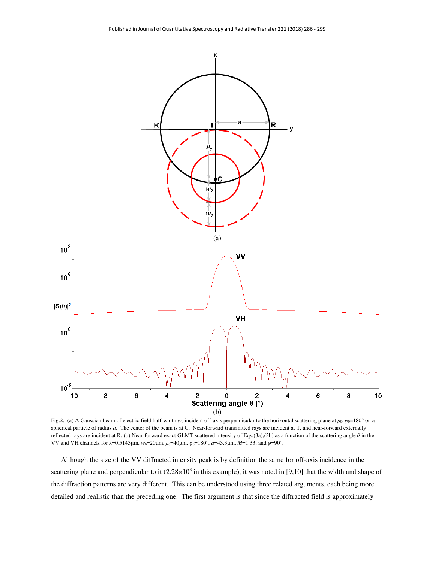

Fig.2. (a) A Gaussian beam of electric field half-width *w*<sub>0</sub> incident off-axis perpendicular to the horizontal scattering plane at  $\rho_0$ ,  $\varphi_0$ =180° on a spherical particle of radius *a*. The center of the beam is at C. Near-forward transmitted rays are incident at T, and near-forward externally reflected rays are incident at R. (b) Near-forward exact GLMT scattered intensity of Eqs.(3a),(3b) as a function of the scattering angle *θ* in the VV and VH channels for  $\lambda$ =0.5145μm,  $w_0$ =20μm,  $\rho_0$ =40μm,  $\varphi_0$ =180°, *a*=43.3μm, *M*=1.33, and  $\varphi$ =90°.

Although the size of the VV diffracted intensity peak is by definition the same for off-axis incidence in the scattering plane and perpendicular to it  $(2.28 \times 10^8$  in this example), it was noted in [9,10] that the width and shape of the diffraction patterns are very different. This can be understood using three related arguments, each being more detailed and realistic than the preceding one. The first argument is that since the diffracted field is approximately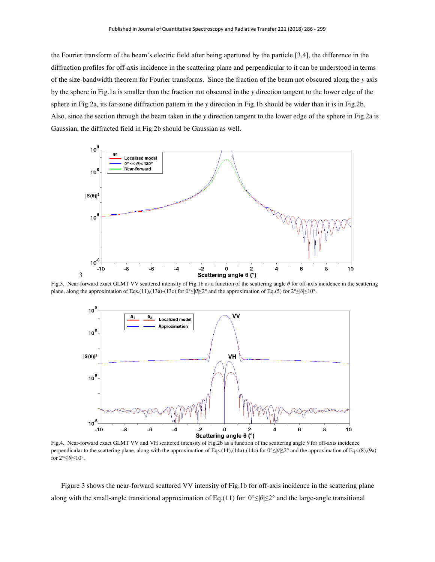the Fourier transform of the beam's electric field after being apertured by the particle [3,4], the difference in the diffraction profiles for off-axis incidence in the scattering plane and perpendicular to it can be understood in terms of the size-bandwidth theorem for Fourier transforms. Since the fraction of the beam not obscured along the *y* axis by the sphere in Fig.1a is smaller than the fraction not obscured in the *y* direction tangent to the lower edge of the sphere in Fig.2a, its far-zone diffraction pattern in the *y* direction in Fig.1b should be wider than it is in Fig.2b. Also, since the section through the beam taken in the *y* direction tangent to the lower edge of the sphere in Fig.2a is Gaussian, the diffracted field in Fig.2b should be Gaussian as well.



Fig.3. Near-forward exact GLMT VV scattered intensity of Fig.1b as a function of the scattering angle *θ* for off-axis incidence in the scattering plane, along the approximation of Eqs.(11),(13a)-(13c) for 0°≤|*θ*|≤2° and the approximation of Eq.(5) for 2°≤|*θ*|≤10°.



Fig.4. Near-forward exact GLMT VV and VH scattered intensity of Fig.2b as a function of the scattering angle *θ* for off-axis incidence perpendicular to the scattering plane, along with the approximation of Eqs.(11),(14a)-(14c) for 0°≤|*θ*|≤2° and the approximation of Eqs.(8),(9a) for 2°≤|*θ*|≤10°.

Figure 3 shows the near-forward scattered VV intensity of Fig.1b for off-axis incidence in the scattering plane along with the small-angle transitional approximation of Eq.(11) for 0°≤|*θ*|≤2° and the large-angle transitional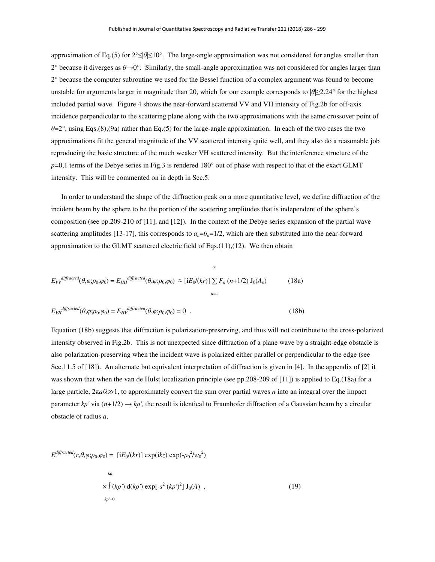approximation of Eq.(5) for 2°≤|*θ*|≤10°. The large-angle approximation was not considered for angles smaller than 2° because it diverges as *θ*→0°. Similarly, the small-angle approximation was not considered for angles larger than 2° because the computer subroutine we used for the Bessel function of a complex argument was found to become unstable for arguments larger in magnitude than 20, which for our example corresponds to |*θ*|≥2.24° for the highest included partial wave. Figure 4 shows the near-forward scattered VV and VH intensity of Fig.2b for off-axis incidence perpendicular to the scattering plane along with the two approximations with the same crossover point of *θ*=2°, using Eqs.(8),(9a) rather than Eq.(5) for the large-angle approximation. In each of the two cases the two approximations fit the general magnitude of the VV scattered intensity quite well, and they also do a reasonable job reproducing the basic structure of the much weaker VH scattered intensity. But the interference structure of the *p*=0,1 terms of the Debye series in Fig.3 is rendered 180° out of phase with respect to that of the exact GLMT intensity. This will be commented on in depth in Sec.5.

In order to understand the shape of the diffraction peak on a more quantitative level, we define diffraction of the incident beam by the sphere to be the portion of the scattering amplitudes that is independent of the sphere's composition (see pp.209-210 of [11], and [12]). In the context of the Debye series expansion of the partial wave scattering amplitudes [13-17], this corresponds to  $a_n=b_n=1/2$ , which are then substituted into the near-forward approximation to the GLMT scattered electric field of Eqs.(11),(12). We then obtain

$$
E_{VV}^{differential}(\theta,\varphi;\rho_0,\varphi_0) = E_{HH}^{differential}(\theta,\varphi;\rho_0,\varphi_0) \approx \left[iE_0/(kr)\right] \sum_{n=1}^{\infty} F_n(n+1/2) \mathbf{J}_0(A_n)
$$
(18a)

$$
E_{VH}^{differential}(\theta, \varphi; \rho_0, \varphi_0) = E_{HV}^{differential}(\theta, \varphi; \rho_0, \varphi_0) = 0
$$
 (18b)

Equation (18b) suggests that diffraction is polarization-preserving, and thus will not contribute to the cross-polarized intensity observed in Fig.2b. This is not unexpected since diffraction of a plane wave by a straight-edge obstacle is also polarization-preserving when the incident wave is polarized either parallel or perpendicular to the edge (see Sec.11.5 of [18]). An alternate but equivalent interpretation of diffraction is given in [4]. In the appendix of [2] it was shown that when the van de Hulst localization principle (see pp.208-209 of [11]) is applied to Eq.(18a) for a large particle, 2π*a*/*λ*≫1, to approximately convert the sum over partial waves *n* into an integral over the impact parameter  $k\rho'$  via  $(n+1/2) \rightarrow k\rho'$ , the result is identical to Fraunhofer diffraction of a Gaussian beam by a circular obstacle of radius *a*,

$$
E^{differential}(r,\theta,\varphi;\rho_0,\varphi_0) = [iE_0/(kr)] \exp(ikz) \exp(-\rho_0^2/w_0^2)
$$
  

$$
k_a
$$
  

$$
\times \int (k\rho') d(k\rho') \exp[-s^2 (k\rho')^2] J_0(A) ,
$$
  

$$
k\rho' = 0
$$
 (19)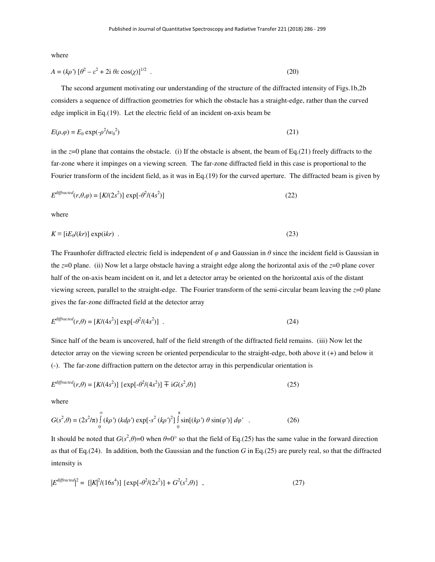where

$$
A = (k\rho')\left[\theta^2 - \varepsilon^2 + 2i\,\theta\varepsilon\,\cos(\chi)\right]^{1/2} \tag{20}
$$

The second argument motivating our understanding of the structure of the diffracted intensity of Figs.1b,2b considers a sequence of diffraction geometries for which the obstacle has a straight-edge, rather than the curved edge implicit in Eq.(19). Let the electric field of an incident on-axis beam be

$$
E(\rho,\varphi) = E_0 \exp(-\rho^2/w_0^2) \tag{21}
$$

in the *z*=0 plane that contains the obstacle. (i) If the obstacle is absent, the beam of Eq.(21) freely diffracts to the far-zone where it impinges on a viewing screen. The far-zone diffracted field in this case is proportional to the Fourier transform of the incident field, as it was in Eq.(19) for the curved aperture. The diffracted beam is given by

$$
E^{differential}(r,\theta,\varphi) = [K/(2s^2)] \exp[-\theta^2/(4s^2)] \tag{22}
$$

where

$$
K \equiv [iE_0/(kr)] \exp(ikr) \tag{23}
$$

The Fraunhofer diffracted electric field is independent of *φ* and Gaussian in *θ* since the incident field is Gaussian in the *z*=0 plane. (ii) Now let a large obstacle having a straight edge along the horizontal axis of the *z*=0 plane cover half of the on-axis beam incident on it, and let a detector array be oriented on the horizontal axis of the distant viewing screen, parallel to the straight-edge. The Fourier transform of the semi-circular beam leaving the *z*=0 plane gives the far-zone diffracted field at the detector array

$$
E^{diffraction}(r,\theta) = [K/(4s^2)] \exp[-\theta^2/(4s^2)] \tag{24}
$$

Since half of the beam is uncovered, half of the field strength of the diffracted field remains. (iii) Now let the detector array on the viewing screen be oriented perpendicular to the straight-edge, both above it (+) and below it (-). The far-zone diffraction pattern on the detector array in this perpendicular orientation is

$$
E^{differential}(r,\theta) = [K/(4s^2)] \{ \exp[-\theta^2/(4s^2)] \mp iG(s^2,\theta) \}
$$
\n(25)

where

$$
G(s^2, \theta) = (2s^2/\pi) \int_{0}^{\infty} (k\rho') (k d\rho') \exp[-s^2 (k\rho')^2] \int_{0}^{\pi} \sin[(k\rho') \theta \sin(\varphi')] d\varphi' \quad . \tag{26}
$$

It should be noted that  $G(s^2, \theta) = 0$  when  $\theta = 0^\circ$  so that the field of Eq.(25) has the same value in the forward direction as that of Eq.(24). In addition, both the Gaussian and the function *G* in Eq.(25) are purely real, so that the diffracted intensity is

$$
|E^{differential}|^2 = [|K|^2/(16s^4)] \{ \exp[-\theta^2/(2s^2)] + G^2(s^2, \theta) \}, \qquad (27)
$$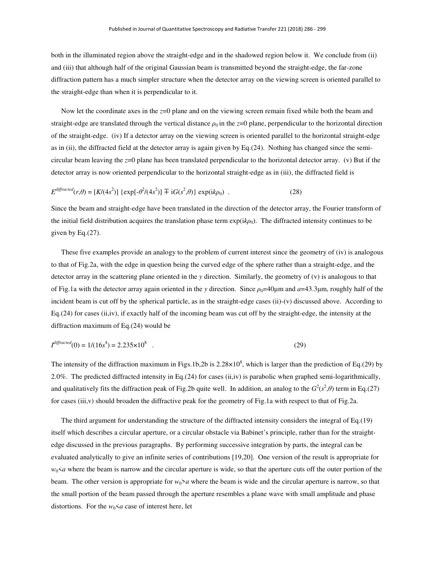both in the illuminated region above the straight-edge and in the shadowed region below it. We conclude from (ii) and (iii) that although half of the original Gaussian beam is transmitted beyond the straight-edge, the far-zone diffraction pattern has a much simpler structure when the detector array on the viewing screen is oriented parallel to the straight-edge than when it is perpendicular to it.

Now let the coordinate axes in the *z*=0 plane and on the viewing screen remain fixed while both the beam and straight-edge are translated through the vertical distance  $\rho_0$  in the  $z=0$  plane, perpendicular to the horizontal direction of the straight-edge. (iv) If a detector array on the viewing screen is oriented parallel to the horizontal straight-edge as in (ii), the diffracted field at the detector array is again given by Eq.(24). Nothing has changed since the semicircular beam leaving the *z*=0 plane has been translated perpendicular to the horizontal detector array. (v) But if the detector array is now oriented perpendicular to the horizontal straight-edge as in (iii), the diffracted field is

$$
E^{differential}(r,\theta) = [K/(4s^2)] \{ \exp[-\theta^2/(4s^2)] \mp iG(s^2,\theta) \} \exp(ik\rho_0) \quad . \tag{28}
$$

Since the beam and straight-edge have been translated in the direction of the detector array, the Fourier transform of the initial field distribution acquires the translation phase term  $\exp(ik\rho_0)$ . The diffracted intensity continues to be given by Eq.(27).

These five examples provide an analogy to the problem of current interest since the geometry of (iv) is analogous to that of Fig.2a, with the edge in question being the curved edge of the sphere rather than a straight-edge, and the detector array in the scattering plane oriented in the *y* direction. Similarly, the geometry of (v) is analogous to that of Fig.1a with the detector array again oriented in the *y* direction. Since  $\rho_0=40\mu$ m and  $a=43.3\mu$ m, roughly half of the incident beam is cut off by the spherical particle, as in the straight-edge cases (ii)-(v) discussed above. According to Eq.(24) for cases (ii,iv), if exactly half of the incoming beam was cut off by the straight-edge, the intensity at the diffraction maximum of Eq.(24) would be

$$
I^{differential}(0) = 1/(16s4) = 2.235 \times 108
$$
 (29)

The intensity of the diffraction maximum in Figs.1b,2b is  $2.28 \times 10^8$ , which is larger than the prediction of Eq.(29) by 2.0%. The predicted diffracted intensity in Eq.(24) for cases (ii,iv) is parabolic when graphed semi-logarithmically, and qualitatively fits the diffraction peak of Fig.2b quite well. In addition, an analog to the  $G^2(s^2,\theta)$  term in Eq.(27) for cases (iii,v) should broaden the diffractive peak for the geometry of Fig.1a with respect to that of Fig.2a.

The third argument for understanding the structure of the diffracted intensity considers the integral of Eq.(19) itself which describes a circular aperture, or a circular obstacle via Babinet's principle, rather than for the straightedge discussed in the previous paragraphs. By performing successive integration by parts, the integral can be evaluated analytically to give an infinite series of contributions [19,20]. One version of the result is appropriate for  $w_0 \le a$  where the beam is narrow and the circular aperture is wide, so that the aperture cuts off the outer portion of the beam. The other version is appropriate for  $w_0 > a$  where the beam is wide and the circular aperture is narrow, so that the small portion of the beam passed through the aperture resembles a plane wave with small amplitude and phase distortions. For the  $w_0 \le a$  case of interest here, let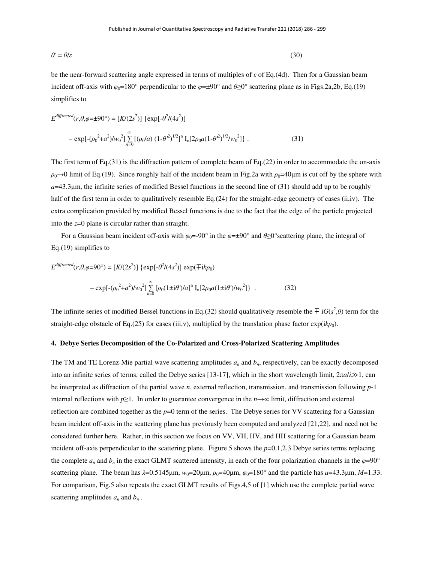$$
\theta' = \theta/\varepsilon \tag{30}
$$

be the near-forward scattering angle expressed in terms of multiples of *ε* of Eq.(4d). Then for a Gaussian beam incident off-axis with  $\varphi_0=180^\circ$  perpendicular to the  $\varphi=\pm 90^\circ$  and  $\theta\geq 0^\circ$  scattering plane as in Figs.2a,2b, Eq.(19) simplifies to

$$
E^{differential}(r,\theta,\varphi=\pm 90^{\circ}) = [K/(2s^{2})] \{ \exp[-\theta^{2}/(4s^{2})] - \exp[-(\rho_{0}^{2} + a^{2})/w_{0}^{2}] \sum_{n=0}^{\infty} [(\rho_{0}/a) (1-\theta^{2})^{1/2}]^{n} I_{n}[2\rho_{0}a(1-\theta^{2})^{1/2}/w_{0}^{2}] \}.
$$
\n(31)

The first term of Eq.(31) is the diffraction pattern of complete beam of Eq.(22) in order to accommodate the on-axis  $\rho_0 \rightarrow 0$  limit of Eq.(19). Since roughly half of the incident beam in Fig.2a with  $\rho_0 = 40 \mu m$  is cut off by the sphere with  $a=43.3\mu$ m, the infinite series of modified Bessel functions in the second line of  $(31)$  should add up to be roughly half of the first term in order to qualitatively resemble Eq.(24) for the straight-edge geometry of cases (ii,iv). The extra complication provided by modified Bessel functions is due to the fact that the edge of the particle projected into the *z*=0 plane is circular rather than straight.

For a Gaussian beam incident of f-axis with  $\varphi_0 = -90^\circ$  in the  $\varphi = \pm 90^\circ$  and  $\theta \ge 0^\circ$  scattering plane, the integral of Eq.(19) simplifies to

$$
E^{differential}(r,\theta,\varphi=90^{\circ}) = [K/(2s^{2})] \{ \exp[-\theta^{2}/(4s^{2})] \exp(\mp ik\rho_{0})
$$

$$
- \exp[-(\rho_{0}^{2} + a^{2})/w_{0}^{2}] \sum_{n=0}^{\infty} [\rho_{0}(1 \pm i\theta)/a]^{n} I_{n}[2\rho_{0}a(1 \pm i\theta)/w_{0}^{2}] \}.
$$
(32)

The infinite series of modified Bessel functions in Eq.(32) should qualitatively resemble the  $\pm$  i $G(s^2,\theta)$  term for the straight-edge obstacle of Eq.(25) for cases (iii,v), multiplied by the translation phase factor  $\exp(ik\rho_0)$ .

## **4. Debye Series Decomposition of the Co-Polarized and Cross-Polarized Scattering Amplitudes**

The TM and TE Lorenz-Mie partial wave scattering amplitudes  $a_n$  and  $b_n$ , respectively, can be exactly decomposed into an infinite series of terms, called the Debye series [13-17], which in the short wavelength limit, 2π*a*/*λ*≫1, can be interpreted as diffraction of the partial wave *n*, external reflection, transmission, and transmission following *p*-1 internal reflections with *p*≥1. In order to guarantee convergence in the *n*→∞ limit, diffraction and external reflection are combined together as the *p*=0 term of the series. The Debye series for VV scattering for a Gaussian beam incident off-axis in the scattering plane has previously been computed and analyzed [21,22], and need not be considered further here. Rather, in this section we focus on VV, VH, HV, and HH scattering for a Gaussian beam incident off-axis perpendicular to the scattering plane. Figure 5 shows the  $p=0,1,2,3$  Debye series terms replacing the complete  $a_n$  and  $b_n$  in the exact GLMT scattered intensity, in each of the four polarization channels in the  $\varphi=90^\circ$ scattering plane. The beam has  $λ=0.5145μm$ ,  $w_0=20μm$ ,  $ρ_0=40μm$ ,  $φ_0=180°$  and the particle has  $a=43.3μm$ ,  $M=1.33$ . For comparison, Fig.5 also repeats the exact GLMT results of Figs.4,5 of [1] which use the complete partial wave scattering amplitudes  $a_n$  and  $b_n$ .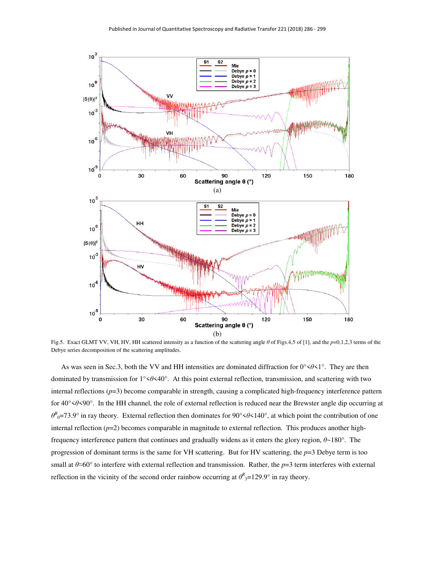

Fig.5. Exact GLMT VV, VH, HV, HH scattered intensity as a function of the scattering angle *θ* of Figs.4,5 of [1], and the *p*=0,1,2,3 terms of the Debye series decomposition of the scattering amplitudes.

As was seen in Sec.3, both the VV and HH intensities are dominated diffraction for 0°<*θ*<1°. They are then dominated by transmission for 1°<*θ*<40°. At this point external reflection, transmission, and scattering with two internal reflections (*p*=3) become comparable in strength, causing a complicated high-frequency interference pattern for 40°<*θ*<90°. In the HH channel, the role of external reflection is reduced near the Brewster angle dip occurring at *θ*<sup>*B*</sup><sub>0</sub>=73.9° in ray theory. External reflection then dominates for 90° ≤θ ≤ 140°, at which point the contribution of one internal reflection  $(p=2)$  becomes comparable in magnitude to external reflection. This produces another highfrequency interference pattern that continues and gradually widens as it enters the glory region, *θ*~180°. The progression of dominant terms is the same for VH scattering. But for HV scattering, the *p*=3 Debye term is too small at  $\theta \approx 60^\circ$  to interfere with external reflection and transmission. Rather, the *p*=3 term interferes with external reflection in the vicinity of the second order rainbow occurring at  $\theta^R$ <sub>3</sub>=129.9° in ray theory.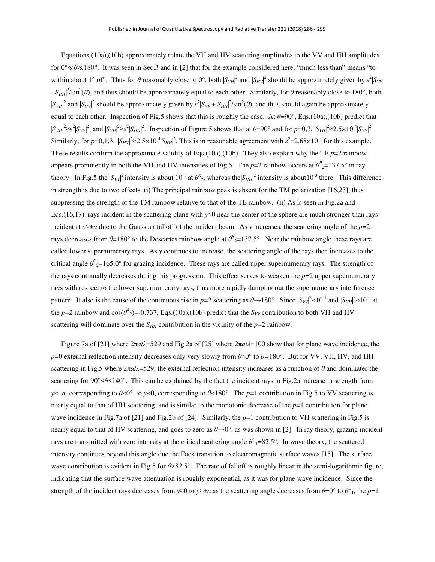Equations (10a),(10b) approximately relate the VH and HV scattering amplitudes to the VV and HH amplitudes for 0°≪*θ*≪180°. It was seen in Sec.3 and in [2] that for the example considered here, "much less than" means "to within about 1° of". Thus for  $\theta$  reasonably close to 0°, both  $|S_{VH}|^2$  and  $|S_{HV}|^2$  should be approximately given by  $\varepsilon^2|S_{VV}$  $-S_{HH}^2$ /sin<sup>2</sup>( $\theta$ ), and thus should be approximately equal to each other. Similarly, for  $\theta$  reasonably close to 180°, both  $|S_{VH}|^2$  and  $|S_{HV}|^2$  should be approximately given by  $\varepsilon^2 |S_{VV} + S_{HH}|^2 / \sin^2(\theta)$ , and thus should again be approximately equal to each other. Inspection of Fig.5 shows that this is roughly the case. At  $\theta=90^\circ$ , Eqs.(10a),(10b) predict that  $|S_{VH}|^2 \approx \varepsilon^2 |S_{VV}|^2$ , and  $|S_{VH}|^2 \approx \varepsilon^2 |S_{HH}|^2$ . Inspection of Figure 5 shows that at  $\theta = 90^\circ$  and for  $p = 0,3$ ,  $|S_{VH}|^2 \approx 2.5 \times 10^{-4} |S_{VV}|^2$ . Similarly, for  $p=0,1,3$ ,  $|S_{HV}|^2 \approx 2.5 \times 10^{-4} |S_{HH}|^2$ . This is in reasonable agreement with  $\varepsilon^2 = 2.68 \times 10^{-4}$  for this example. These results confirm the approximate validity of Eqs.(10a),(10b). They also explain why the TE  $p=2$  rainbow appears prominently in both the VH and HV intensities of Fig.5. The  $p=2$  rainbow occurs at  $\theta^R{}_2=137.5^\circ$  in ray theory. In Fig.5 the  $|S_{VV}|^2$  intensity is about  $10^{-1}$  at  $\theta_{2}^R$ , whereas the  $|S_{HH}|^2$  intensity is about  $10^{-3}$  there. This difference in strength is due to two effects. (i) The principal rainbow peak is absent for the TM polarization [16,23], thus suppressing the strength of the TM rainbow relative to that of the TE rainbow. (ii) As is seen in Fig.2a and Eqs.(16,17), rays incident in the scattering plane with *y*≈0 near the center of the sphere are much stronger than rays incident at *y*≈±*a* due to the Gaussian falloff of the incident beam. As *y* increases, the scattering angle of the *p*=2 rays decreases from  $\theta$ =180° to the Descartes rainbow angle at  $\theta^R$ <sub>2</sub>=137.5°. Near the rainbow angle these rays are called lower supernumerary rays. As *y* continues to increase, the scattering angle of the rays then increases to the critical angle  $\theta^C = 165.0^\circ$  for grazing incidence. These rays are called upper supernumerary rays. The strength of the rays continually decreases during this progression. This effect serves to weaken the  $p=2$  upper supernumerary rays with respect to the lower supernumerary rays, thus more rapidly damping out the supernumerary interference pattern. It also is the cause of the continuous rise in  $p=2$  scattering as  $\theta \to 180^\circ$ . Since  $|S_{VV}|^2 \approx 10^{-1}$  and  $|S_{HH}|^2 \approx 10^{-3}$  at the *p*=2 rainbow and cos( $\theta^R$ <sub>2</sub>)=-0.737, Eqs.(10a),(10b) predict that the *S<sub>VV</sub>* contribution to both VH and HV scattering will dominate over the  $S_{HH}$  contribution in the vicinity of the  $p=2$  rainbow.

Figure 7a of [21] where 2π*a*/*λ*=529 and Fig.2a of [25] where 2π*a*/*λ*=100 show that for plane wave incidence, the *p*=0 external reflection intensity decreases only very slowly from *θ*≈0° to *θ=*180°. But for VV, VH, HV, and HH scattering in Fig.5 where  $2\pi a/\lambda$ =529, the external reflection intensity increases as a function of  $\theta$  and dominates the scattering for 90°<*θ*<140°. This can be explained by the fact the incident rays in Fig.2a increase in strength from *y*≈±*a*, corresponding to *θ≈*0°, to *y*≈0, corresponding to *θ≈*180°. The *p*=1 contribution in Fig.5 to VV scattering is nearly equal to that of HH scattering, and is similar to the monotonic decrease of the *p*=1 contribution for plane wave incidence in Fig.7a of [21] and Fig.2b of [24]. Similarly, the  $p=1$  contribution to VH scattering in Fig.5 is nearly equal to that of HV scattering, and goes to zero as  $\theta \rightarrow 0^\circ$ , as was shown in [2]. In ray theory, grazing incident rays are transmitted with zero intensity at the critical scattering angle  $\theta^C$ <sub>1</sub>=82.5°. In wave theory, the scattered intensity continues beyond this angle due the Fock transition to electromagnetic surface waves [15]. The surface wave contribution is evident in Fig.5 for *θ*>82.5°. The rate of falloff is roughly linear in the semi-logarithmic figure, indicating that the surface wave attenuation is roughly exponential, as it was for plane wave incidence. Since the strength of the incident rays decreases from  $y \approx 0$  to  $y \approx \pm a$  as the scattering angle decreases from  $\theta = 0^\circ$  to  $\theta^C$ <sub>1</sub>, the  $p=1$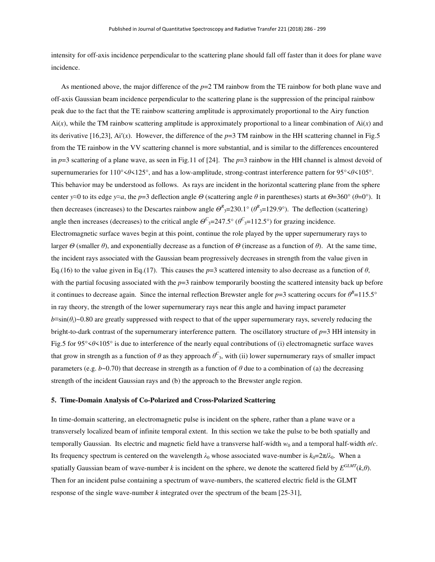intensity for off-axis incidence perpendicular to the scattering plane should fall off faster than it does for plane wave incidence.

As mentioned above, the major difference of the  $p=2$  TM rainbow from the TE rainbow for both plane wave and off-axis Gaussian beam incidence perpendicular to the scattering plane is the suppression of the principal rainbow peak due to the fact that the TE rainbow scattering amplitude is approximately proportional to the Airy function  $Ai(x)$ , while the TM rainbow scattering amplitude is approximately proportional to a linear combination of  $Ai(x)$  and its derivative [16,23], Ai'(*x*). However, the difference of the  $p=3$  TM rainbow in the HH scattering channel in Fig.5 from the TE rainbow in the VV scattering channel is more substantial, and is similar to the differences encountered in  $p=3$  scattering of a plane wave, as seen in Fig.11 of [24]. The  $p=3$  rainbow in the HH channel is almost devoid of supernumeraries for 110°<*θ*<125°, and has a low-amplitude, strong-contrast interference pattern for 95°<*θ*<105°. This behavior may be understood as follows. As rays are incident in the horizontal scattering plane from the sphere center *y*≈0 to its edge *y*≈*a*, the *p*=3 deflection angle  $\Theta$  (scattering angle  $\theta$  in parentheses) starts at  $\Theta$ =360° ( $\theta$ =0°). It then decreases (increases) to the Descartes rainbow angle  $\Theta^R$ <sub>3</sub>=230.1° ( $\theta^R$ <sub>3</sub>=129.9°). The deflection (scattering) angle then increases (decreases) to the critical angle  $\Theta^C$ <sub>3</sub>=247.5° ( $\theta^C$ <sub>3</sub>=112.5°) for grazing incidence. Electromagnetic surface waves begin at this point, continue the role played by the upper supernumerary rays to larger *Θ* (smaller *θ*), and exponentially decrease as a function of *Θ* (increase as a function of *θ*). At the same time, the incident rays associated with the Gaussian beam progressively decreases in strength from the value given in Eq.(16) to the value given in Eq.(17). This causes the  $p=3$  scattered intensity to also decrease as a function of  $\theta$ , with the partial focusing associated with the *p*=3 rainbow temporarily boosting the scattered intensity back up before it continues to decrease again. Since the internal reflection Brewster angle for  $p=3$  scattering occurs for  $\theta^B=115.5^\circ$ in ray theory, the strength of the lower supernumerary rays near this angle and having impact parameter *b*≡sin(*θi*)~0.80 are greatly suppressed with respect to that of the upper supernumerary rays, severely reducing the bright-to-dark contrast of the supernumerary interference pattern. The oscillatory structure of  $p=3$  HH intensity in Fig.5 for 95°<*θ*<105° is due to interference of the nearly equal contributions of (i) electromagnetic surface waves that grow in strength as a function of  $\theta$  as they approach  $\theta^C$ <sub>3</sub>, with (ii) lower supernumerary rays of smaller impact parameters (e.g.  $b \sim 0.70$ ) that decrease in strength as a function of  $\theta$  due to a combination of (a) the decreasing strength of the incident Gaussian rays and (b) the approach to the Brewster angle region.

#### **5. Time-Domain Analysis of Co-Polarized and Cross-Polarized Scattering**

In time-domain scattering, an electromagnetic pulse is incident on the sphere, rather than a plane wave or a transversely localized beam of infinite temporal extent. In this section we take the pulse to be both spatially and temporally Gaussian. Its electric and magnetic field have a transverse half-width  $w_0$  and a temporal half-width  $\sigma/c$ . Its frequency spectrum is centered on the wavelength  $\lambda_0$  whose associated wave-number is  $k_0=2\pi/\lambda_0$ . When a spatially Gaussian beam of wave-number *k* is incident on the sphere, we denote the scattered field by  $E^{GLMT}(k, \theta)$ . Then for an incident pulse containing a spectrum of wave-numbers, the scattered electric field is the GLMT response of the single wave-number *k* integrated over the spectrum of the beam [25-31],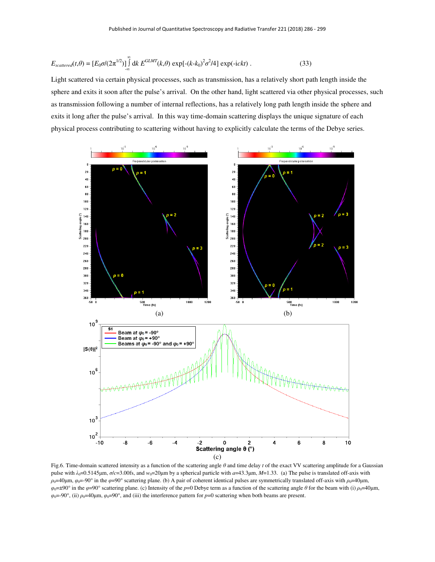$$
E_{scattered}(t,\theta) = \left[E_0 \sigma/(2\pi^{1/2})\right]_{-\infty}^{\infty} dk \ E^{GLMT}(k,\theta) \exp[-(k-k_0)^2 \sigma^2/4] \exp(-ickt) \ . \tag{33}
$$

Light scattered via certain physical processes, such as transmission, has a relatively short path length inside the sphere and exits it soon after the pulse's arrival. On the other hand, light scattered via other physical processes, such as transmission following a number of internal reflections, has a relatively long path length inside the sphere and exits it long after the pulse's arrival. In this way time-domain scattering displays the unique signature of each physical process contributing to scattering without having to explicitly calculate the terms of the Debye series.



Fig.6. Time-domain scattered intensity as a function of the scattering angle *θ* and time delay *t* of the exact VV scattering amplitude for a Gaussian pulse with  $λ_0$ =0.5145μm,  $σ/c$ =3.00fs, and  $w_0$ =20μm by a spherical particle with  $a$ =43.3μm,  $M$ =1.33. (a) The pulse is translated off-axis with *ρ*0=40μm, *φ*0=-90° in the *φ*=90° scattering plane. (b) A pair of coherent identical pulses are symmetrically translated off-axis with *ρ*0=40μm,  $\varphi_0 = \pm 90^\circ$  in the  $\varphi = 90^\circ$  scattering plane. (c) Intensity of the *p*=0 Debye term as a function of the scattering angle  $\theta$  for the beam with (i)  $\rho_0 = 40 \mu$ m, *φ*0=-90°, (ii) *ρ*0=40μm, *φ*0=90°, and (iii) the interference pattern for *p*=0 scattering when both beams are present.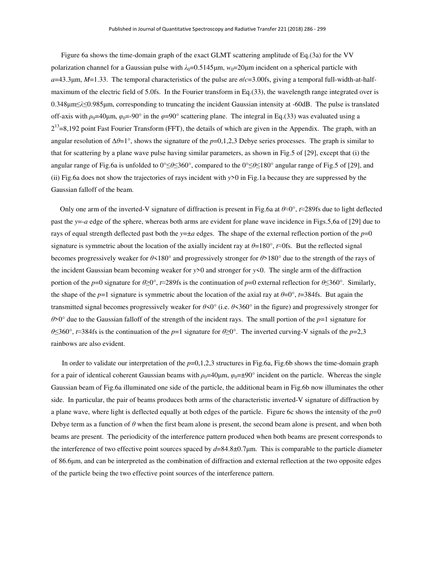Figure 6a shows the time-domain graph of the exact GLMT scattering amplitude of Eq.(3a) for the VV polarization channel for a Gaussian pulse with  $\lambda_0 = 0.5145 \mu m$ ,  $w_0 = 20 \mu m$  incident on a spherical particle with *a*=43.3μm, *M*=1.33. The temporal characteristics of the pulse are *σ*/*c*=3.00fs, giving a temporal full-width-at-halfmaximum of the electric field of 5.0fs. In the Fourier transform in Eq.(33), the wavelength range integrated over is 0.348μm≤*λ*≤0.985μm, corresponding to truncating the incident Gaussian intensity at -60dB. The pulse is translated off-axis with  $\rho_0=40\mu$ m,  $\varphi_0=90^\circ$  in the  $\varphi=90^\circ$  scattering plane. The integral in Eq.(33) was evaluated using a  $2^{13}$ =8,192 point Fast Fourier Transform (FFT), the details of which are given in the Appendix. The graph, with an angular resolution of Δ*θ*=1°, shows the signature of the *p*=0,1,2,3 Debye series processes. The graph is similar to that for scattering by a plane wave pulse having similar parameters, as shown in Fig.5 of [29], except that (i) the angular range of Fig.6a is unfolded to 0°≤*θ*≤360°, compared to the 0°≤*θ*≤180° angular range of Fig.5 of [29], and (ii) Fig.6a does not show the trajectories of rays incident with *y*>0 in Fig.1a because they are suppressed by the Gaussian falloff of the beam.

 Only one arm of the inverted-V signature of diffraction is present in Fig.6a at *θ*≈0°, *t*≈289fs due to light deflected past the *y*=-*a* edge of the sphere, whereas both arms are evident for plane wave incidence in Figs.5,6a of [29] due to rays of equal strength deflected past both the  $y=\pm a$  edges. The shape of the external reflection portion of the  $p=0$ signature is symmetric about the location of the axially incident ray at *θ*=180°, *t*≈0fs. But the reflected signal becomes progressively weaker for *θ*<180° and progressively stronger for *θ*>180° due to the strength of the rays of the incident Gaussian beam becoming weaker for  $y>0$  and stronger for  $y<0$ . The single arm of the diffraction portion of the *p*=0 signature for  $\theta \ge 0^\circ$ ,  $\approx 289$  fs is the continuation of *p*=0 external reflection for  $\theta \le 360^\circ$ . Similarly, the shape of the *p*=1 signature is symmetric about the location of the axial ray at  $\theta=0^\circ$ , *t*=384fs. But again the transmitted signal becomes progressively weaker for *θ*<0° (i.e. *θ*<360° in the figure) and progressively stronger for *θ*>0° due to the Gaussian falloff of the strength of the incident rays. The small portion of the *p*=1 signature for *θ*≤360°, *t*≈384fs is the continuation of the *p*=1 signature for *θ*≥0°. The inverted curving-V signals of the *p*=2,3 rainbows are also evident.

In order to validate our interpretation of the  $p=0,1,2,3$  structures in Fig.6a, Fig.6b shows the time-domain graph for a pair of identical coherent Gaussian beams with  $\rho_0 = 40 \mu m$ ,  $\varphi_0 = \pm 90^\circ$  incident on the particle. Whereas the single Gaussian beam of Fig.6a illuminated one side of the particle, the additional beam in Fig.6b now illuminates the other side. In particular, the pair of beams produces both arms of the characteristic inverted-V signature of diffraction by a plane wave, where light is deflected equally at both edges of the particle. Figure 6c shows the intensity of the  $p=0$ Debye term as a function of *θ* when the first beam alone is present, the second beam alone is present, and when both beams are present. The periodicity of the interference pattern produced when both beams are present corresponds to the interference of two effective point sources spaced by *d*=84.8±0.7μm. This is comparable to the particle diameter of 86.6μm, and can be interpreted as the combination of diffraction and external reflection at the two opposite edges of the particle being the two effective point sources of the interference pattern.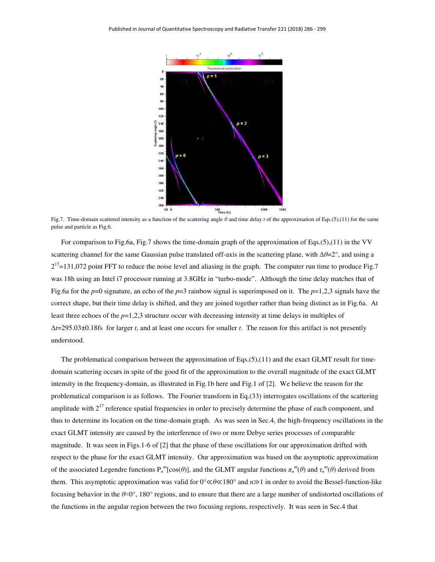

Fig.7. Time-domain scattered intensity as a function of the scattering angle *θ* and time delay *t* of the approximation of Eqs.(5),(11) for the same pulse and particle as Fig.6.

For comparison to Fig.6a, Fig.7 shows the time-domain graph of the approximation of Eqs.(5),(11) in the VV scattering channel for the same Gaussian pulse translated off-axis in the scattering plane, with Δ*θ*=2°, and using a  $2^{17}$ =131,072 point FFT to reduce the noise level and aliasing in the graph. The computer run time to produce Fig.7 was 18h using an Intel i7 processor running at 3.8GHz in "turbo-mode". Although the time delay matches that of Fig.6a for the *p*=0 signature, an echo of the *p*=3 rainbow signal is superimposed on it. The *p*=1,2,3 signals have the correct shape, but their time delay is shifted, and they are joined together rather than being distinct as in Fig.6a. At least three echoes of the *p*=1,2,3 structure occur with decreasing intensity at time delays in multiples of Δ*t*=295.03±0.18fs for larger *t*, and at least one occurs for smaller *t*. The reason for this artifact is not presently understood.

The problematical comparison between the approximation of  $Eqs.(5),(11)$  and the exact GLMT result for timedomain scattering occurs in spite of the good fit of the approximation to the overall magnitude of the exact GLMT intensity in the frequency-domain, as illustrated in Fig.1b here and Fig.1 of [2]. We believe the reason for the problematical comparison is as follows. The Fourier transform in Eq.(33) interrogates oscillations of the scattering amplitude with  $2^{17}$  reference spatial frequencies in order to precisely determine the phase of each component, and thus to determine its location on the time-domain graph. As was seen in Sec.4, the high-frequency oscillations in the exact GLMT intensity are caused by the interference of two or more Debye series processes of comparable magnitude. It was seen in Figs.1-6 of [2] that the phase of these oscillations for our approximation drifted with respect to the phase for the exact GLMT intensity. Our approximation was based on the asymptotic approximation of the associated Legendre functions  $P_n^m[\cos(\theta)]$ , and the GLMT angular functions  $\pi_n^m(\theta)$  and  $\tau_n^m(\theta)$  derived from them. This asymptotic approximation was valid for 0°≪*θ*≪180° and *n*≫1 in order to avoid the Bessel-function-like focusing behavior in the *θ*≈0°, 180° regions, and to ensure that there are a large number of undistorted oscillations of the functions in the angular region between the two focusing regions, respectively. It was seen in Sec.4 that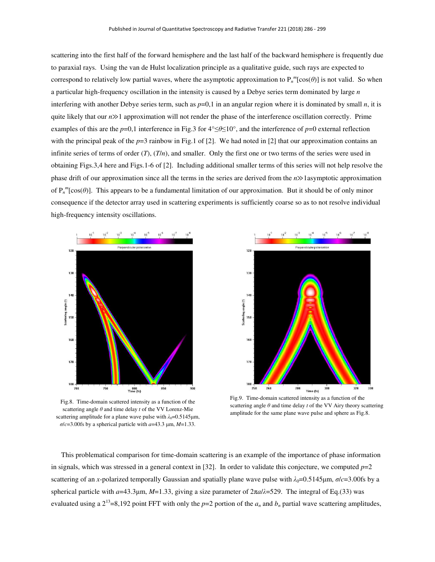scattering into the first half of the forward hemisphere and the last half of the backward hemisphere is frequently due to paraxial rays. Using the van de Hulst localization principle as a qualitative guide, such rays are expected to correspond to relatively low partial waves, where the asymptotic approximation to  $P_n^m[\cos(\theta)]$  is not valid. So when a particular high-frequency oscillation in the intensity is caused by a Debye series term dominated by large *n* interfering with another Debye series term, such as  $p=0,1$  in an angular region where it is dominated by small  $n$ , it is quite likely that our *n*≫1 approximation will not render the phase of the interference oscillation correctly. Prime examples of this are the *p*=0,1 interference in Fig.3 for 4°≤*θ*≤10°, and the interference of *p*=0 external reflection with the principal peak of the  $p=3$  rainbow in Fig.1 of [2]. We had noted in [2] that our approximation contains an infinite series of terms of order  $(T)$ ,  $(T/n)$ , and smaller. Only the first one or two terms of the series were used in obtaining Figs.3,4 here and Figs.1-6 of [2]. Including additional smaller terms of this series will not help resolve the phase drift of our approximation since all the terms in the series are derived from the *n*≫1asymptotic approximation of  $P_n^m[\cos(\theta)]$ . This appears to be a fundamental limitation of our approximation. But it should be of only minor consequence if the detector array used in scattering experiments is sufficiently coarse so as to not resolve individual high-frequency intensity oscillations.



Fig.8. Time-domain scattered intensity as a function of the scattering angle *θ* and time delay *t* of the VV Lorenz-Mie scattering amplitude for a plane wave pulse with  $λ_0=0.5145$ μm, *σ*/*c*=3.00fs by a spherical particle with *a*=43.3 μm, *M*=1.33.



Fig.9. Time-domain scattered intensity as a function of the scattering angle *θ* and time delay *t* of the VV Airy theory scattering amplitude for the same plane wave pulse and sphere as Fig.8.

This problematical comparison for time-domain scattering is an example of the importance of phase information in signals, which was stressed in a general context in  $[32]$ . In order to validate this conjecture, we computed  $p=2$ scattering of an *x*-polarized temporally Gaussian and spatially plane wave pulse with  $\lambda_0 = 0.5145 \mu m$ ,  $\sigma/c = 3.00$ fs by a spherical particle with *a*=43.3μm, *M*=1.33, giving a size parameter of 2π*a*/*λ*=529. The integral of Eq.(33) was evaluated using a  $2^{13}$ =8,192 point FFT with only the *p*=2 portion of the  $a_n$  and  $b_n$  partial wave scattering amplitudes,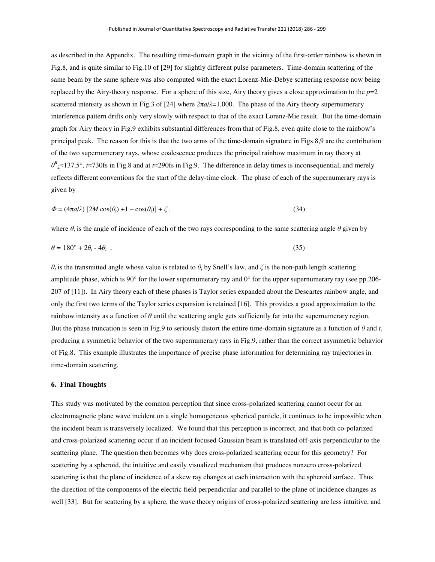as described in the Appendix. The resulting time-domain graph in the vicinity of the first-order rainbow is shown in Fig.8, and is quite similar to Fig.10 of [29] for slightly different pulse parameters. Time-domain scattering of the same beam by the same sphere was also computed with the exact Lorenz-Mie-Debye scattering response now being replaced by the Airy-theory response. For a sphere of this size, Airy theory gives a close approximation to the  $p=2$ scattered intensity as shown in Fig.3 of [24] where 2π*a*/*λ*=1,000. The phase of the Airy theory supernumerary interference pattern drifts only very slowly with respect to that of the exact Lorenz-Mie result. But the time-domain graph for Airy theory in Fig.9 exhibits substantial differences from that of Fig.8, even quite close to the rainbow's principal peak. The reason for this is that the two arms of the time-domain signature in Figs.8,9 are the contribution of the two supernumerary rays, whose coalescence produces the principal rainbow maximum in ray theory at *θ R* <sup>2</sup>≈137.5°, *t*≈730fs in Fig.8 and at *t*≈290fs in Fig.9. The difference in delay times is inconsequential, and merely reflects different conventions for the start of the delay-time clock. The phase of each of the supernumerary rays is given by

$$
\Phi = (4\pi a/\lambda) [2M \cos(\theta_t) + 1 - \cos(\theta_i)] + \zeta,
$$
\n(34)

where  $\theta_i$  is the angle of incidence of each of the two rays corresponding to the same scattering angle  $\theta$  given by

$$
\theta = 180^{\circ} + 2\theta_i - 4\theta_t \tag{35}
$$

*θ<sub>i</sub>* is the transmitted angle whose value is related to *θ<sub>i</sub>* by Snell's law, and  $\zeta$  is the non-path length scattering amplitude phase, which is 90 $^{\circ}$  for the lower supernumerary ray and 0 $^{\circ}$  for the upper supernumerary ray (see pp.206-207 of [11]). In Airy theory each of these phases is Taylor series expanded about the Descartes rainbow angle, and only the first two terms of the Taylor series expansion is retained [16]. This provides a good approximation to the rainbow intensity as a function of *θ* until the scattering angle gets sufficiently far into the supernumerary region. But the phase truncation is seen in Fig.9 to seriously distort the entire time-domain signature as a function of  $\theta$  and  $t$ , producing a symmetric behavior of the two supernumerary rays in Fig.9, rather than the correct asymmetric behavior of Fig.8. This example illustrates the importance of precise phase information for determining ray trajectories in time-domain scattering.

#### **6. Final Thoughts**

This study was motivated by the common perception that since cross-polarized scattering cannot occur for an electromagnetic plane wave incident on a single homogeneous spherical particle, it continues to be impossible when the incident beam is transversely localized. We found that this perception is incorrect, and that both co-polarized and cross-polarized scattering occur if an incident focused Gaussian beam is translated off-axis perpendicular to the scattering plane. The question then becomes why does cross-polarized scattering occur for this geometry? For scattering by a spheroid, the intuitive and easily visualized mechanism that produces nonzero cross-polarized scattering is that the plane of incidence of a skew ray changes at each interaction with the spheroid surface. Thus the direction of the components of the electric field perpendicular and parallel to the plane of incidence changes as well [33]. But for scattering by a sphere, the wave theory origins of cross-polarized scattering are less intuitive, and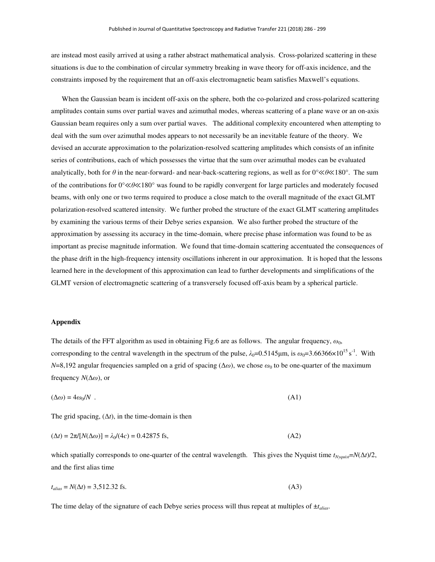are instead most easily arrived at using a rather abstract mathematical analysis. Cross-polarized scattering in these situations is due to the combination of circular symmetry breaking in wave theory for off-axis incidence, and the constraints imposed by the requirement that an off-axis electromagnetic beam satisfies Maxwell's equations.

 When the Gaussian beam is incident off-axis on the sphere, both the co-polarized and cross-polarized scattering amplitudes contain sums over partial waves and azimuthal modes, whereas scattering of a plane wave or an on-axis Gaussian beam requires only a sum over partial waves. The additional complexity encountered when attempting to deal with the sum over azimuthal modes appears to not necessarily be an inevitable feature of the theory. We devised an accurate approximation to the polarization-resolved scattering amplitudes which consists of an infinite series of contributions, each of which possesses the virtue that the sum over azimuthal modes can be evaluated analytically, both for *θ* in the near-forward- and near-back-scattering regions, as well as for 0°≪*θ*≪180°. The sum of the contributions for 0°≪*θ*≪180° was found to be rapidly convergent for large particles and moderately focused beams, with only one or two terms required to produce a close match to the overall magnitude of the exact GLMT polarization-resolved scattered intensity. We further probed the structure of the exact GLMT scattering amplitudes by examining the various terms of their Debye series expansion. We also further probed the structure of the approximation by assessing its accuracy in the time-domain, where precise phase information was found to be as important as precise magnitude information. We found that time-domain scattering accentuated the consequences of the phase drift in the high-frequency intensity oscillations inherent in our approximation. It is hoped that the lessons learned here in the development of this approximation can lead to further developments and simplifications of the GLMT version of electromagnetic scattering of a transversely focused off-axis beam by a spherical particle.

#### **Appendix**

The details of the FFT algorithm as used in obtaining Fig.6 are as follows. The angular frequency,  $\omega_0$ , corresponding to the central wavelength in the spectrum of the pulse,  $\lambda_0=0.5145\mu$ m, is  $\omega_0=3.66366\times10^{15}$  s<sup>-1</sup>. With *N*=8,192 angular frequencies sampled on a grid of spacing ( $\Delta\omega$ ), we chose  $\omega_0$  to be one-quarter of the maximum frequency *N*(Δ*ω*), or

$$
(\Delta \omega) = 4\omega_0 / N \tag{A1}
$$

The grid spacing,  $(\Delta t)$ , in the time-domain is then

$$
(\Delta t) = 2\pi/[N(\Delta \omega)] = \lambda_0/(4c) = 0.42875 \text{ fs},\tag{A2}
$$

which spatially corresponds to one-quarter of the central wavelength. This gives the Nyquist time  $t_{Nyquis} = N(\Delta t)/2$ , and the first alias time

$$
t_{alias} = N(\Delta t) = 3{,}512.32 \text{ fs.} \tag{A3}
$$

The time delay of the signature of each Debye series process will thus repeat at multiples of ±*talias*.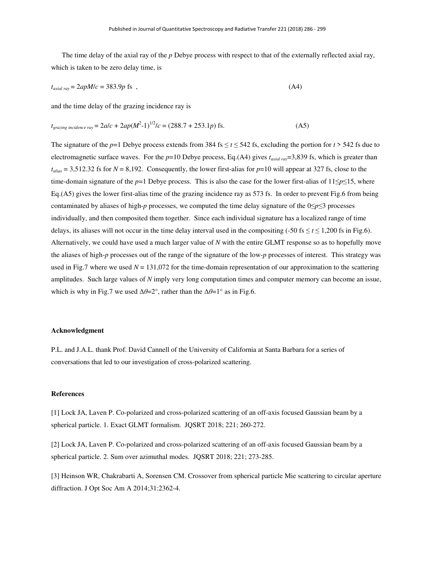The time delay of the axial ray of the *p* Debye process with respect to that of the externally reflected axial ray, which is taken to be zero delay time, is

$$
t_{\text{axial ray}} = 2apM/c = 383.9p \text{ fs} \tag{A4}
$$

and the time delay of the grazing incidence ray is

$$
t_{grazing\ incidence\ ray} = 2alc + 2ap(M^2-1)^{1/2}/c = (288.7 + 253.1p)
$$
fs. (A5)

The signature of the *p*=1 Debye process extends from 384 fs  $\le t \le 542$  fs, excluding the portion for  $t > 542$  fs due to electromagnetic surface waves. For the  $p=10$  Debye process, Eq.(A4) gives  $t_{\alpha x i a l r \alpha y} = 3,839$  fs, which is greater than  $t_{alias} = 3{,}512.32$  fs for  $N = 8{,}192$ . Consequently, the lower first-alias for  $p=10$  will appear at 327 fs, close to the time-domain signature of the *p*=1 Debye process. This is also the case for the lower first-alias of 11≤*p*≤15, where Eq.(A5) gives the lower first-alias time of the grazing incidence ray as 573 fs. In order to prevent Fig.6 from being contaminated by aliases of high-*p* processes, we computed the time delay signature of the 0≤*p*≤3 processes individually, and then composited them together. Since each individual signature has a localized range of time delays, its aliases will not occur in the time delay interval used in the compositing  $(-50 \text{ fs} \le t \le 1,200 \text{ fs} \text{ in Fig.6}).$ Alternatively, we could have used a much larger value of *N* with the entire GLMT response so as to hopefully move the aliases of high-*p* processes out of the range of the signature of the low-*p* processes of interest. This strategy was used in Fig.7 where we used  $N = 131,072$  for the time-domain representation of our approximation to the scattering amplitudes. Such large values of *N* imply very long computation times and computer memory can become an issue, which is why in Fig.7 we used  $\Delta\theta = 2^{\circ}$ , rather than the  $\Delta\theta = 1^{\circ}$  as in Fig.6.

#### **Acknowledgment**

P.L. and J.A.L. thank Prof. David Cannell of the University of California at Santa Barbara for a series of conversations that led to our investigation of cross-polarized scattering.

### **References**

[1] Lock JA, Laven P. Co-polarized and cross-polarized scattering of an off-axis focused Gaussian beam by a spherical particle. 1. Exact GLMT formalism. JQSRT 2018; 221; 260-272.

[2] Lock JA, Laven P. Co-polarized and cross-polarized scattering of an off-axis focused Gaussian beam by a spherical particle. 2. Sum over azimuthal modes. JQSRT 2018; 221; 273-285.

[3] Heinson WR, Chakrabarti A, Sorensen CM. Crossover from spherical particle Mie scattering to circular aperture diffraction. J Opt Soc Am A 2014;31:2362-4.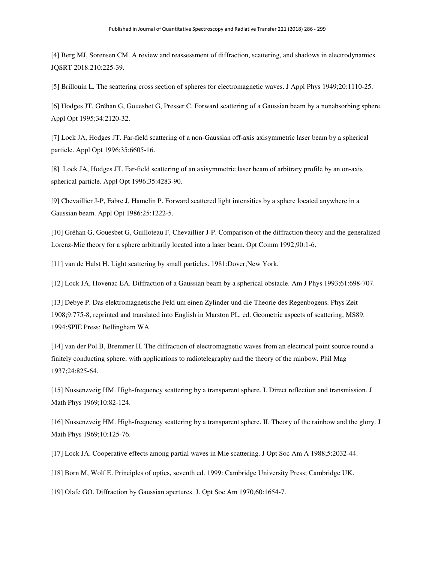[4] Berg MJ, Sorensen CM. A review and reassessment of diffraction, scattering, and shadows in electrodynamics. JQSRT 2018:210:225-39.

[5] Brillouin L. The scattering cross section of spheres for electromagnetic waves. J Appl Phys 1949;20:1110-25.

[6] Hodges JT, Gréhan G, Gouesbet G, Presser C. Forward scattering of a Gaussian beam by a nonabsorbing sphere. Appl Opt 1995;34:2120-32.

[7] Lock JA, Hodges JT. Far-field scattering of a non-Gaussian off-axis axisymmetric laser beam by a spherical particle. Appl Opt 1996;35:6605-16.

[8] Lock JA, Hodges JT. Far-field scattering of an axisymmetric laser beam of arbitrary profile by an on-axis spherical particle. Appl Opt 1996;35:4283-90.

[9] Chevaillier J-P, Fabre J, Hamelin P. Forward scattered light intensities by a sphere located anywhere in a Gaussian beam. Appl Opt 1986;25:1222-5.

[10] Gréhan G, Gouesbet G, Guilloteau F, Chevaillier J-P. Comparison of the diffraction theory and the generalized Lorenz-Mie theory for a sphere arbitrarily located into a laser beam. Opt Comm 1992;90:1-6.

[11] van de Hulst H. Light scattering by small particles. 1981:Dover;New York.

[12] Lock JA, Hovenac EA. Diffraction of a Gaussian beam by a spherical obstacle. Am J Phys 1993;61:698-707.

[13] Debye P. Das elektromagnetische Feld um einen Zylinder und die Theorie des Regenbogens. Phys Zeit 1908;9:775-8, reprinted and translated into English in Marston PL. ed. Geometric aspects of scattering, MS89. 1994:SPIE Press; Bellingham WA.

[14] van der Pol B, Bremmer H. The diffraction of electromagnetic waves from an electrical point source round a finitely conducting sphere, with applications to radiotelegraphy and the theory of the rainbow. Phil Mag 1937;24:825-64.

[15] Nussenzveig HM. High-frequency scattering by a transparent sphere. I. Direct reflection and transmission. J Math Phys 1969;10:82-124.

[16] Nussenzveig HM. High-frequency scattering by a transparent sphere. II. Theory of the rainbow and the glory. J Math Phys 1969;10:125-76.

[17] Lock JA. Cooperative effects among partial waves in Mie scattering. J Opt Soc Am A 1988;5:2032-44.

[18] Born M, Wolf E. Principles of optics, seventh ed. 1999: Cambridge University Press; Cambridge UK.

[19] Olafe GO. Diffraction by Gaussian apertures. J. Opt Soc Am 1970,60:1654-7.